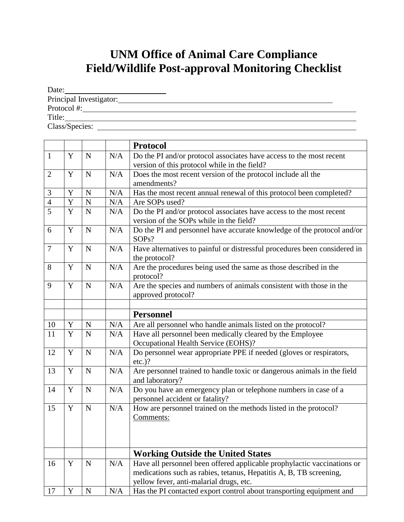## **UNM Office of Animal Care Compliance Field/Wildlife Post-approval Monitoring Checklist**

| Date:                   |  |
|-------------------------|--|
| Principal Investigator: |  |
| Protocol #:             |  |
| Title:                  |  |
| Class/Species:          |  |

|                |   |             |     | <b>Protocol</b>                                                                            |
|----------------|---|-------------|-----|--------------------------------------------------------------------------------------------|
| $\mathbf{1}$   | Y | $\mathbf N$ | N/A | Do the PI and/or protocol associates have access to the most recent                        |
|                |   |             |     | version of this protocol while in the field?                                               |
| $\overline{2}$ | Y | $\mathbf N$ | N/A | Does the most recent version of the protocol include all the                               |
|                |   |             |     | amendments?                                                                                |
| 3              | Y | $\mathbf N$ | N/A | Has the most recent annual renewal of this protocol been completed?                        |
| $\overline{4}$ | Y | ${\bf N}$   | N/A | Are SOPs used?                                                                             |
| $\overline{5}$ | Y | ${\bf N}$   | N/A | Do the PI and/or protocol associates have access to the most recent                        |
|                |   |             |     | version of the SOPs while in the field?                                                    |
| 6              | Y | $\mathbf N$ | N/A | Do the PI and personnel have accurate knowledge of the protocol and/or<br>SOPs?            |
| $\tau$         | Y | $\mathbf N$ | N/A | Have alternatives to painful or distressful procedures been considered in                  |
|                |   |             |     | the protocol?                                                                              |
| 8              | Y | $\mathbf N$ | N/A | Are the procedures being used the same as those described in the                           |
|                |   |             |     | protocol?                                                                                  |
| 9              | Y | $\mathbf N$ | N/A | Are the species and numbers of animals consistent with those in the                        |
|                |   |             |     | approved protocol?                                                                         |
|                |   |             |     |                                                                                            |
|                |   |             |     | <b>Personnel</b>                                                                           |
| 10             | Y | $\mathbf N$ | N/A | Are all personnel who handle animals listed on the protocol?                               |
| 11             | Y | $\mathbf N$ | N/A | Have all personnel been medically cleared by the Employee                                  |
|                |   |             |     | Occupational Health Service (EOHS)?                                                        |
| 12             | Y | $\mathbf N$ | N/A | Do personnel wear appropriate PPE if needed (gloves or respirators,                        |
|                |   |             |     | $etc.$ )?                                                                                  |
| 13             | Y | $\mathbf N$ | N/A | Are personnel trained to handle toxic or dangerous animals in the field<br>and laboratory? |
| 14             | Y | $\mathbf N$ | N/A | Do you have an emergency plan or telephone numbers in case of a                            |
|                |   |             |     | personnel accident or fatality?                                                            |
| 15             | Y | $\mathbf N$ | N/A | How are personnel trained on the methods listed in the protocol?                           |
|                |   |             |     | Comments:                                                                                  |
|                |   |             |     |                                                                                            |
|                |   |             |     |                                                                                            |
|                |   |             |     |                                                                                            |
|                |   |             |     | <b>Working Outside the United States</b>                                                   |
| 16             | Y | $\mathbf N$ | N/A | Have all personnel been offered applicable prophylactic vaccinations or                    |
|                |   |             |     | medications such as rabies, tetanus, Hepatitis A, B, TB screening,                         |
|                |   |             |     | yellow fever, anti-malarial drugs, etc.                                                    |
| 17             | Y | $\mathbf N$ | N/A | Has the PI contacted export control about transporting equipment and                       |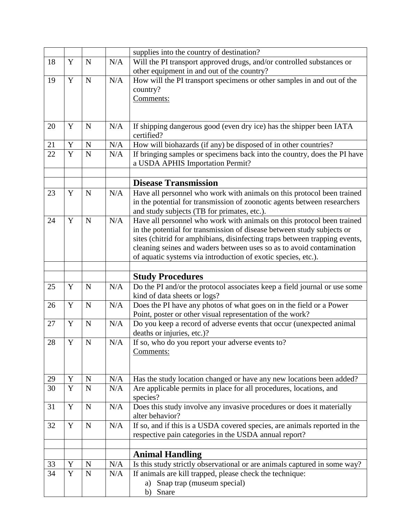|    |             |             |     | supplies into the country of destination?                                      |
|----|-------------|-------------|-----|--------------------------------------------------------------------------------|
| 18 | Y           | $\mathbf N$ | N/A | Will the PI transport approved drugs, and/or controlled substances or          |
|    |             |             |     | other equipment in and out of the country?                                     |
| 19 | Y           | $\mathbf N$ | N/A | How will the PI transport specimens or other samples in and out of the         |
|    |             |             |     | country?                                                                       |
|    |             |             |     | Comments:                                                                      |
|    |             |             |     |                                                                                |
|    |             |             |     |                                                                                |
| 20 | Y           | $\mathbf N$ | N/A | If shipping dangerous good (even dry ice) has the shipper been IATA            |
|    |             |             |     | certified?                                                                     |
| 21 | Y           | $\mathbf N$ | N/A | How will biohazards (if any) be disposed of in other countries?                |
| 22 | Y           | $\mathbf N$ | N/A | If bringing samples or specimens back into the country, does the PI have       |
|    |             |             |     | a USDA APHIS Importation Permit?                                               |
|    |             |             |     |                                                                                |
|    |             |             |     | <b>Disease Transmission</b>                                                    |
| 23 | Y           | ${\bf N}$   | N/A | Have all personnel who work with animals on this protocol been trained         |
|    |             |             |     | in the potential for transmission of zoonotic agents between researchers       |
|    |             |             |     | and study subjects (TB for primates, etc.).                                    |
| 24 | Y           | $\mathbf N$ | N/A | Have all personnel who work with animals on this protocol been trained         |
|    |             |             |     | in the potential for transmission of disease between study subjects or         |
|    |             |             |     | sites (chitrid for amphibians, disinfecting traps between trapping events,     |
|    |             |             |     | cleaning seines and waders between uses so as to avoid contamination           |
|    |             |             |     | of aquatic systems via introduction of exotic species, etc.).                  |
|    |             |             |     |                                                                                |
|    |             |             |     |                                                                                |
|    |             |             |     | <b>Study Procedures</b>                                                        |
| 25 | Y           | $\mathbf N$ | N/A | Do the PI and/or the protocol associates keep a field journal or use some      |
|    |             |             |     | kind of data sheets or logs?                                                   |
| 26 | Y           | $\mathbf N$ | N/A | Does the PI have any photos of what goes on in the field or a Power            |
|    |             |             |     | Point, poster or other visual representation of the work?                      |
| 27 | Y           | $\mathbf N$ | N/A | Do you keep a record of adverse events that occur (unexpected animal           |
|    |             |             |     | deaths or injuries, etc.)?                                                     |
| 28 | Y           | $\mathbf N$ | N/A | If so, who do you report your adverse events to?                               |
|    |             |             |     | Comments:                                                                      |
|    |             |             |     |                                                                                |
| 29 | Y           | $\mathbf N$ | N/A | Has the study location changed or have any new locations been added?           |
| 30 | Y           | $\mathbf N$ | N/A |                                                                                |
|    |             |             |     | Are applicable permits in place for all procedures, locations, and<br>species? |
| 31 | $\mathbf Y$ | $\mathbf N$ | N/A | Does this study involve any invasive procedures or does it materially          |
|    |             |             |     | alter behavior?                                                                |
| 32 | Y           | $\mathbf N$ | N/A | If so, and if this is a USDA covered species, are animals reported in the      |
|    |             |             |     | respective pain categories in the USDA annual report?                          |
|    |             |             |     |                                                                                |
|    |             |             |     | <b>Animal Handling</b>                                                         |
| 33 | Y           | $\mathbf N$ | N/A | Is this study strictly observational or are animals captured in some way?      |
| 34 | $\mathbf Y$ | $\mathbf N$ | N/A | If animals are kill trapped, please check the technique:                       |
|    |             |             |     | Snap trap (museum special)<br>a)<br>Snare                                      |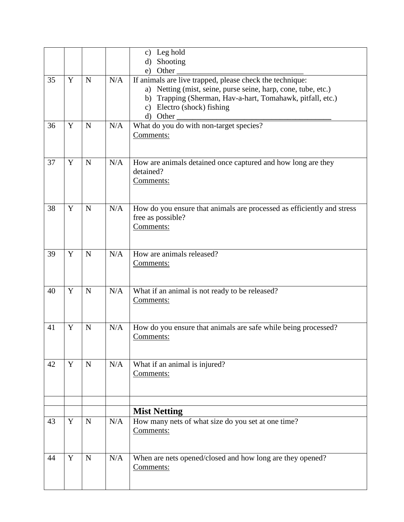|    |   |             |     | Leg hold<br>$\mathbf{c})$                                              |
|----|---|-------------|-----|------------------------------------------------------------------------|
|    |   |             |     | Shooting<br>$\rm d$                                                    |
|    |   |             |     | Other<br>e)                                                            |
| 35 | Y | $\mathbf N$ | N/A | If animals are live trapped, please check the technique:               |
|    |   |             |     | a) Netting (mist, seine, purse seine, harp, cone, tube, etc.)          |
|    |   |             |     | b) Trapping (Sherman, Hav-a-hart, Tomahawk, pitfall, etc.)             |
|    |   |             |     | $\mathbf{c})$                                                          |
|    |   |             |     | Electro (shock) fishing                                                |
|    |   |             |     | d) Other                                                               |
| 36 | Y | $\mathbf N$ | N/A | What do you do with non-target species?                                |
|    |   |             |     | Comments:                                                              |
|    |   |             |     |                                                                        |
|    |   |             |     |                                                                        |
| 37 | Y | ${\bf N}$   | N/A | How are animals detained once captured and how long are they           |
|    |   |             |     | detained?                                                              |
|    |   |             |     | Comments:                                                              |
|    |   |             |     |                                                                        |
|    |   |             |     |                                                                        |
| 38 | Y | $\mathbf N$ | N/A | How do you ensure that animals are processed as efficiently and stress |
|    |   |             |     | free as possible?                                                      |
|    |   |             |     | Comments:                                                              |
|    |   |             |     |                                                                        |
|    |   |             |     |                                                                        |
| 39 | Y | $\mathbf N$ | N/A | How are animals released?                                              |
|    |   |             |     | Comments:                                                              |
|    |   |             |     |                                                                        |
|    |   |             |     |                                                                        |
| 40 | Y | $\mathbf N$ | N/A | What if an animal is not ready to be released?                         |
|    |   |             |     | Comments:                                                              |
|    |   |             |     |                                                                        |
|    |   |             |     |                                                                        |
| 41 | Y | $\mathbf N$ | N/A | How do you ensure that animals are safe while being processed?         |
|    |   |             |     | Comments:                                                              |
|    |   |             |     |                                                                        |
|    |   |             |     |                                                                        |
| 42 | Y | ${\bf N}$   | N/A |                                                                        |
|    |   |             |     | What if an animal is injured?                                          |
|    |   |             |     | Comments:                                                              |
|    |   |             |     |                                                                        |
|    |   |             |     |                                                                        |
|    |   |             |     |                                                                        |
|    |   |             |     | <b>Mist Netting</b>                                                    |
| 43 | Y | $\mathbf N$ | N/A | How many nets of what size do you set at one time?                     |
|    |   |             |     | Comments:                                                              |
|    |   |             |     |                                                                        |
|    |   |             |     |                                                                        |
| 44 | Y | $\mathbf N$ | N/A | When are nets opened/closed and how long are they opened?              |
|    |   |             |     | Comments:                                                              |
|    |   |             |     |                                                                        |
|    |   |             |     |                                                                        |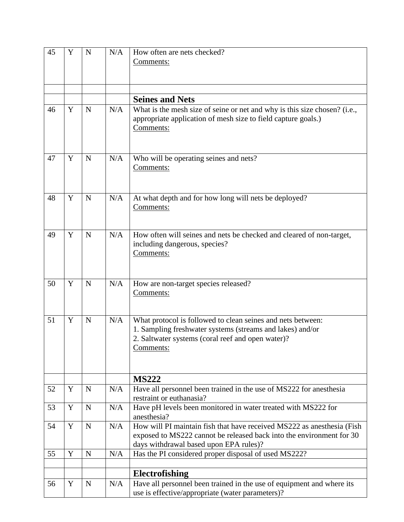| 45 | Y           | $\mathbf N$ | N/A | How often are nets checked?                                                                                                                             |
|----|-------------|-------------|-----|---------------------------------------------------------------------------------------------------------------------------------------------------------|
|    |             |             |     | Comments:                                                                                                                                               |
|    |             |             |     |                                                                                                                                                         |
|    |             |             |     |                                                                                                                                                         |
|    |             |             |     |                                                                                                                                                         |
|    |             |             |     | <b>Seines and Nets</b>                                                                                                                                  |
| 46 | Y           | N           | N/A | What is the mesh size of seine or net and why is this size chosen? (i.e.,<br>appropriate application of mesh size to field capture goals.)<br>Comments: |
| 47 | Y           | $\mathbf N$ | N/A | Who will be operating seines and nets?                                                                                                                  |
|    |             |             |     | Comments:                                                                                                                                               |
|    |             |             |     |                                                                                                                                                         |
|    |             |             |     |                                                                                                                                                         |
| 48 | Y           | $\mathbf N$ | N/A | At what depth and for how long will nets be deployed?                                                                                                   |
|    |             |             |     | Comments:                                                                                                                                               |
|    |             |             |     |                                                                                                                                                         |
|    |             |             |     |                                                                                                                                                         |
| 49 | Y           | $\mathbf N$ | N/A | How often will seines and nets be checked and cleared of non-target,                                                                                    |
|    |             |             |     | including dangerous, species?                                                                                                                           |
|    |             |             |     | Comments:                                                                                                                                               |
|    |             |             |     |                                                                                                                                                         |
|    |             |             |     |                                                                                                                                                         |
| 50 | Y           | $\mathbf N$ | N/A | How are non-target species released?                                                                                                                    |
|    |             |             |     | Comments:                                                                                                                                               |
|    |             |             |     |                                                                                                                                                         |
| 51 | Y           | $\mathbf N$ | N/A | What protocol is followed to clean seines and nets between:                                                                                             |
|    |             |             |     | 1. Sampling freshwater systems (streams and lakes) and/or                                                                                               |
|    |             |             |     | 2. Saltwater systems (coral reef and open water)?                                                                                                       |
|    |             |             |     | Comments:                                                                                                                                               |
|    |             |             |     |                                                                                                                                                         |
|    |             |             |     |                                                                                                                                                         |
|    |             |             |     | <b>MS222</b>                                                                                                                                            |
| 52 | Y           | $\mathbf N$ | N/A | Have all personnel been trained in the use of MS222 for anesthesia                                                                                      |
|    |             |             |     | restraint or euthanasia?                                                                                                                                |
| 53 | Y           | $\mathbf N$ | N/A | Have pH levels been monitored in water treated with MS222 for                                                                                           |
| 54 | Y           | $\mathbf N$ | N/A | anesthesia?<br>How will PI maintain fish that have received MS222 as anesthesia (Fish                                                                   |
|    |             |             |     | exposed to MS222 cannot be released back into the environment for 30                                                                                    |
|    |             |             |     | days withdrawal based upon EPA rules)?                                                                                                                  |
| 55 | $\mathbf Y$ | $\mathbf N$ | N/A | Has the PI considered proper disposal of used MS222?                                                                                                    |
|    |             |             |     |                                                                                                                                                         |
|    |             |             |     | Electrofishing                                                                                                                                          |
| 56 | Y           | N           | N/A | Have all personnel been trained in the use of equipment and where its                                                                                   |
|    |             |             |     | use is effective/appropriate (water parameters)?                                                                                                        |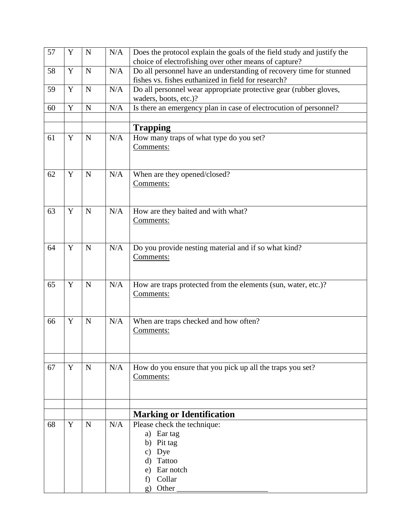| 57 | Y           | $\mathbf N$ | N/A | Does the protocol explain the goals of the field study and justify the |
|----|-------------|-------------|-----|------------------------------------------------------------------------|
|    |             |             |     | choice of electrofishing over other means of capture?                  |
| 58 | $\mathbf Y$ | ${\bf N}$   | N/A | Do all personnel have an understanding of recovery time for stunned    |
|    |             |             |     | fishes vs. fishes euthanized in field for research?                    |
| 59 | $\mathbf Y$ | $\mathbf N$ | N/A | Do all personnel wear appropriate protective gear (rubber gloves,      |
| 60 | Y           | ${\bf N}$   | N/A | waders, boots, etc.)?                                                  |
|    |             |             |     | Is there an emergency plan in case of electrocution of personnel?      |
|    |             |             |     | <b>Trapping</b>                                                        |
| 61 | $\mathbf Y$ | $\mathbf N$ | N/A | How many traps of what type do you set?                                |
|    |             |             |     | Comments:                                                              |
|    |             |             |     |                                                                        |
|    |             |             |     |                                                                        |
| 62 | Y           | $\mathbf N$ | N/A | When are they opened/closed?                                           |
|    |             |             |     | Comments:                                                              |
|    |             |             |     |                                                                        |
| 63 | Y           | $\mathbf N$ | N/A | How are they baited and with what?                                     |
|    |             |             |     | Comments:                                                              |
|    |             |             |     |                                                                        |
|    |             |             |     |                                                                        |
| 64 | Y           | $\mathbf N$ | N/A | Do you provide nesting material and if so what kind?                   |
|    |             |             |     | Comments:                                                              |
|    |             |             |     |                                                                        |
| 65 | $\mathbf Y$ | $\mathbf N$ | N/A | How are traps protected from the elements (sun, water, etc.)?          |
|    |             |             |     | Comments:                                                              |
|    |             |             |     |                                                                        |
|    |             |             |     |                                                                        |
| 66 | Y           | $\mathbf N$ | N/A | When are traps checked and how often?                                  |
|    |             |             |     | Comments:                                                              |
|    |             |             |     |                                                                        |
|    |             |             |     |                                                                        |
| 67 | Y           | $\mathbf N$ | N/A | How do you ensure that you pick up all the traps you set?              |
|    |             |             |     | Comments:                                                              |
|    |             |             |     |                                                                        |
|    |             |             |     |                                                                        |
|    |             |             |     | <b>Marking or Identification</b>                                       |
| 68 | Y           | $\mathbf N$ | N/A | Please check the technique:                                            |
|    |             |             |     | a) Ear tag                                                             |
|    |             |             |     | Pit tag<br>b)                                                          |
|    |             |             |     | Dye<br>$\mathbf{c})$                                                   |
|    |             |             |     | Tattoo<br>d)                                                           |
|    |             |             |     | Ear notch<br>e)                                                        |
|    |             |             |     | Collar<br>f)                                                           |
|    |             |             |     | Other<br>$\mathbf{g}$ )                                                |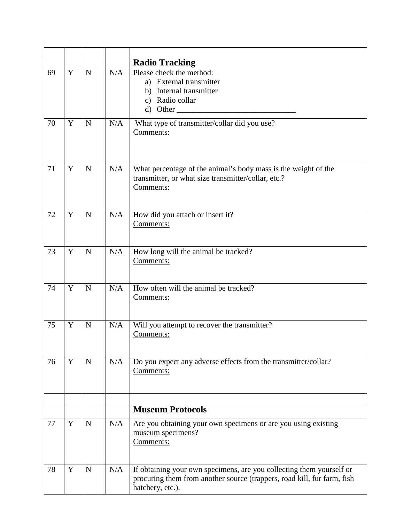|    |   |             |     | <b>Radio Tracking</b>                                                                                                                                               |
|----|---|-------------|-----|---------------------------------------------------------------------------------------------------------------------------------------------------------------------|
| 69 | Y | $\mathbf N$ | N/A | Please check the method:<br>a) External transmitter<br>Internal transmitter<br>b)<br>c) Radio collar                                                                |
| 70 | Y | $\mathbf N$ | N/A | What type of transmitter/collar did you use?<br>Comments:                                                                                                           |
| 71 | Y | $\mathbf N$ | N/A | What percentage of the animal's body mass is the weight of the<br>transmitter, or what size transmitter/collar, etc.?<br>Comments:                                  |
| 72 | Y | $\mathbf N$ | N/A | How did you attach or insert it?<br>Comments:                                                                                                                       |
| 73 | Y | $\mathbf N$ | N/A | How long will the animal be tracked?<br>Comments:                                                                                                                   |
| 74 | Y | $\mathbf N$ | N/A | How often will the animal be tracked?<br>Comments:                                                                                                                  |
| 75 | Y | $\mathbf N$ | N/A | Will you attempt to recover the transmitter?<br>Comments:                                                                                                           |
| 76 | Y | $\mathbf N$ | N/A | Do you expect any adverse effects from the transmitter/collar?<br>Comments:                                                                                         |
|    |   |             |     |                                                                                                                                                                     |
|    |   |             |     | <b>Museum Protocols</b>                                                                                                                                             |
| 77 | Y | $\mathbf N$ | N/A | Are you obtaining your own specimens or are you using existing<br>museum specimens?<br>Comments:                                                                    |
| 78 | Y | $\mathbf N$ | N/A | If obtaining your own specimens, are you collecting them yourself or<br>procuring them from another source (trappers, road kill, fur farm, fish<br>hatchery, etc.). |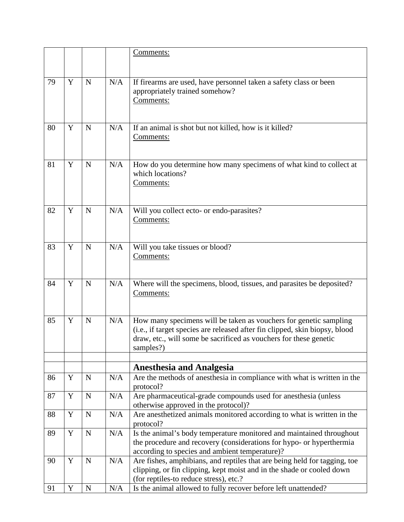|    |             |             |     | Comments:                                                                   |
|----|-------------|-------------|-----|-----------------------------------------------------------------------------|
|    |             |             |     |                                                                             |
|    |             |             |     |                                                                             |
| 79 | Y           | $\mathbf N$ | N/A | If firearms are used, have personnel taken a safety class or been           |
|    |             |             |     | appropriately trained somehow?                                              |
|    |             |             |     | Comments:                                                                   |
|    |             |             |     |                                                                             |
|    |             |             |     |                                                                             |
| 80 | Y           | $\mathbf N$ | N/A | If an animal is shot but not killed, how is it killed?                      |
|    |             |             |     | Comments:                                                                   |
|    |             |             |     |                                                                             |
|    |             |             |     |                                                                             |
| 81 | Y           | $\mathbf N$ | N/A | How do you determine how many specimens of what kind to collect at          |
|    |             |             |     | which locations?                                                            |
|    |             |             |     | Comments:                                                                   |
|    |             |             |     |                                                                             |
| 82 | Y           | $\mathbf N$ | N/A |                                                                             |
|    |             |             |     | Will you collect ecto- or endo-parasites?<br>Comments:                      |
|    |             |             |     |                                                                             |
|    |             |             |     |                                                                             |
| 83 | Y           | $\mathbf N$ | N/A | Will you take tissues or blood?                                             |
|    |             |             |     | Comments:                                                                   |
|    |             |             |     |                                                                             |
|    |             |             |     |                                                                             |
| 84 | Y           | $\mathbf N$ | N/A | Where will the specimens, blood, tissues, and parasites be deposited?       |
|    |             |             |     | Comments:                                                                   |
|    |             |             |     |                                                                             |
|    |             |             |     |                                                                             |
| 85 | Y           | $\mathbf N$ | N/A | How many specimens will be taken as vouchers for genetic sampling           |
|    |             |             |     | (i.e., if target species are released after fin clipped, skin biopsy, blood |
|    |             |             |     | draw, etc., will some be sacrificed as vouchers for these genetic           |
|    |             |             |     | samples?)                                                                   |
|    |             |             |     |                                                                             |
|    |             |             |     | <b>Anesthesia and Analgesia</b>                                             |
| 86 | Y           | $\mathbf N$ | N/A | Are the methods of anesthesia in compliance with what is written in the     |
|    |             |             |     | protocol?                                                                   |
| 87 | $\mathbf Y$ | $\mathbf N$ | N/A | Are pharmaceutical-grade compounds used for anesthesia (unless              |
|    |             |             |     | otherwise approved in the protocol)?                                        |
| 88 | $\mathbf Y$ | $\mathbf N$ | N/A | Are anesthetized animals monitored according to what is written in the      |
|    |             |             |     | protocol?                                                                   |
| 89 | Y           | $\mathbf N$ | N/A | Is the animal's body temperature monitored and maintained throughout        |
|    |             |             |     | the procedure and recovery (considerations for hypo- or hyperthermia        |
|    | Y           |             |     | according to species and ambient temperature)?                              |
| 90 |             | $\mathbf N$ | N/A | Are fishes, amphibians, and reptiles that are being held for tagging, toe   |
|    |             |             |     | clipping, or fin clipping, kept moist and in the shade or cooled down       |
|    | Y           | ${\bf N}$   | N/A | (for reptiles-to reduce stress), etc.?                                      |
| 91 |             |             |     | Is the animal allowed to fully recover before left unattended?              |